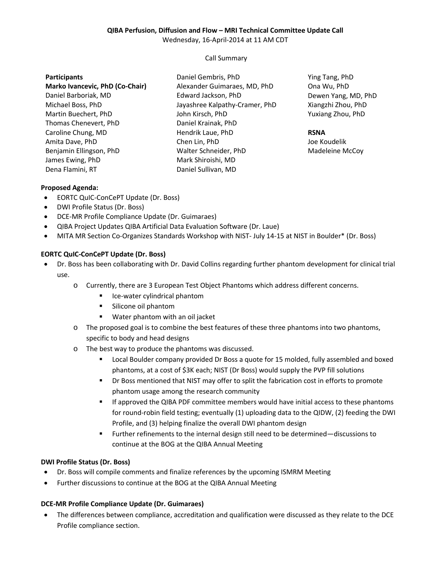## **QIBA Perfusion, Diffusion and Flow – MRI Technical Committee Update Call**

Wednesday, 16-April-2014 at 11 AM CDT

### Call Summary

#### **Participants**

**Marko Ivancevic, PhD (Co-Chair)** Daniel Barboriak, MD Michael Boss, PhD Martin Buechert, PhD Thomas Chenevert, PhD Caroline Chung, MD Amita Dave, PhD Benjamin Ellingson, PhD James Ewing, PhD Dena Flamini, RT

Daniel Gembris, PhD Alexander Guimaraes, MD, PhD Edward Jackson, PhD Jayashree Kalpathy-Cramer, PhD John Kirsch, PhD Daniel Krainak, PhD Hendrik Laue, PhD Chen Lin, PhD Walter Schneider, PhD Mark Shiroishi, MD Daniel Sullivan, MD

Ying Tang, PhD Ona Wu, PhD Dewen Yang, MD, PhD Xiangzhi Zhou, PhD Yuxiang Zhou, PhD

## **RSNA**

Joe Koudelik Madeleine McCoy

## **Proposed Agenda:**

- EORTC QuIC-ConCePT Update (Dr. Boss)
- DWI Profile Status (Dr. Boss)
- DCE-MR Profile Compliance Update (Dr. Guimaraes)
- QIBA Project Updates QIBA Artificial Data Evaluation Software (Dr. Laue)
- MITA MR Section Co-Organizes Standards Workshop with NIST- July 14-15 at NIST in Boulder\* (Dr. Boss)

### **EORTC QuIC-ConCePT Update (Dr. Boss)**

- Dr. Boss has been collaborating with Dr. David Collins regarding further phantom development for clinical trial use.
	- o Currently, there are 3 European Test Object Phantoms which address different concerns.
		- Ice-water cylindrical phantom
		- **Silicone oil phantom**
		- Water phantom with an oil jacket
	- o The proposed goal is to combine the best features of these three phantoms into two phantoms, specific to body and head designs
	- o The best way to produce the phantoms was discussed.
		- Local Boulder company provided Dr Boss a quote for 15 molded, fully assembled and boxed phantoms, at a cost of \$3K each; NIST (Dr Boss) would supply the PVP fill solutions
		- Dr Boss mentioned that NIST may offer to split the fabrication cost in efforts to promote phantom usage among the research community
		- If approved the QIBA PDF committee members would have initial access to these phantoms for round-robin field testing; eventually (1) uploading data to the QIDW, (2) feeding the DWI Profile, and (3) helping finalize the overall DWI phantom design
		- Further refinements to the internal design still need to be determined—discussions to continue at the BOG at the QIBA Annual Meeting

### **DWI Profile Status (Dr. Boss)**

- Dr. Boss will compile comments and finalize references by the upcoming ISMRM Meeting
- Further discussions to continue at the BOG at the QIBA Annual Meeting

### **DCE-MR Profile Compliance Update (Dr. Guimaraes)**

• The differences between compliance, accreditation and qualification were discussed as they relate to the DCE Profile compliance section.